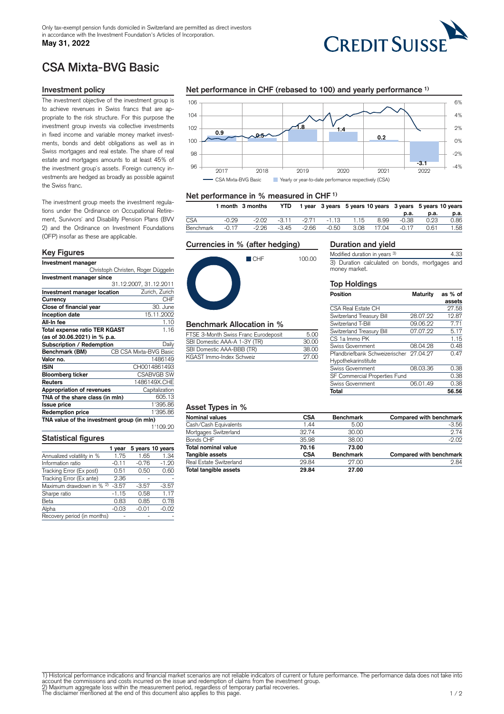## **May 31, 2022**



# CSA Mixta-BVG Basic

## **Investment policy**

The investment objective of the investment group is to achieve revenues in Swiss francs that are appropriate to the risk structure. For this purpose the investment group invests via collective investments in fixed income and variable money market investments, bonds and debt obligations as well as in Swiss mortgages and real estate. The share of real estate and mortgages amounts to at least 45% of the investment group`s assets. Foreign currency investments are hedged as broadly as possible against the Swiss franc.

The investment group meets the investment regulations under the Ordinance on Occupational Retirement, Survivors` and Disability Pension Plans (BVV 2) and the Ordinance on Investment Foundations (OFP) insofar as these are applicable.

#### **Key Figures**

| Investment manager                         |                        |  |  |  |
|--------------------------------------------|------------------------|--|--|--|
| Christoph Christen, Roger Düggelin         |                        |  |  |  |
| Investment manager since                   |                        |  |  |  |
|                                            | 31.12.2007, 31.12.2011 |  |  |  |
| Investment manager location                | Zurich, Zurich         |  |  |  |
| Currency                                   | CHF                    |  |  |  |
| Close of financial year                    | 30. June               |  |  |  |
| Inception date                             | 15.11.2002             |  |  |  |
| All-In fee                                 | 1.10                   |  |  |  |
| Total expense ratio TER KGAST              | 1.16                   |  |  |  |
| (as of 30.06.2021) in % p.a.               |                        |  |  |  |
| Subscription / Redemption                  | Daily                  |  |  |  |
| Benchmark (BM)                             | CB CSA Mixta-BVG Basic |  |  |  |
| Valor no.                                  | 1486149                |  |  |  |
| ISIN                                       | CH0014861493           |  |  |  |
| Bloomberg ticker                           | <b>CSABVGB SW</b>      |  |  |  |
| Reuters                                    | 1486149X.CHE           |  |  |  |
| Appropriation of revenues                  | Capitalization         |  |  |  |
| TNA of the share class (in mln)            | 605.13                 |  |  |  |
| <b>Issue price</b>                         | 1'395.86               |  |  |  |
| <b>Redemption price</b>                    | 1'395.86               |  |  |  |
| TNA value of the investment group (in mln) |                        |  |  |  |
|                                            | 1'109.20               |  |  |  |

## **Statistical figures**

|                                     | 1 vear  |         | 5 years 10 years |
|-------------------------------------|---------|---------|------------------|
| Annualized volatility in %          | 1.75    | 1.65    | 1.34             |
| Information ratio                   | $-0.11$ | $-0.76$ | $-1.20$          |
| Tracking Error (Ex post)            | 0.51    | 0.50    | 0.60             |
| Tracking Error (Ex ante)            | 2.36    |         |                  |
| Maximum drawdown in % <sup>2)</sup> | $-3.57$ | $-3.57$ | $-3.57$          |
| Sharpe ratio                        | $-1.15$ | 0.58    | 1.17             |
| Beta                                | 0.83    | 0.85    | 0.78             |
| Alpha                               | $-0.03$ | $-0.01$ | $-0.02$          |
| Recovery period (in months)         |         |         |                  |

## **Net performance in CHF (rebased to 100) and yearly performance 1)**



## **Net performance in % measured in CHF 1)**

|            |         | 1 month 3 months | <b>YTD</b> |       |             | 1 year 3 years 5 years 10 years 3 years 5 years 10 years |       |       |      |      |
|------------|---------|------------------|------------|-------|-------------|----------------------------------------------------------|-------|-------|------|------|
|            |         |                  |            |       |             |                                                          |       | p.a.  | p.a. | р.а. |
| <b>CSA</b> | $-0.29$ | -2.02            | $-311$     |       | -2.71 -1.13 | 1.15                                                     | 8.99  | -0.38 | 0.23 | 0.86 |
| Benchmark  | $-0.17$ | -2.26            | -3.45      | -2.66 | -0.50       | 3.08                                                     | 17.04 | -0.17 | 0.61 | 1.58 |

#### **Currencies in % (after hedging)**



# **Benchmark Allocation in %**

| FTSE 3-Month Swiss Franc Eurodeposit | 5.00  |
|--------------------------------------|-------|
| SBI Domestic AAA-A 1-3Y (TR)         | 30.00 |
| SBI Domestic AAA-BBB (TR)            | 38.00 |
| KGAST Immo-Index Schweiz             | 27.00 |

#### **Duration and yield**

Modified duration in years <sup>3)</sup> 4.33 3) Duration calculated on bonds, mortgages and money market.

#### **Top Holdings**

| Position                                | <b>Maturity</b> | as % of |
|-----------------------------------------|-----------------|---------|
|                                         |                 | assets  |
| <b>CSA Real Estate CH</b>               |                 | 27.58   |
| Switzerland Treasury Bill               | 28.07.22        | 12.87   |
| Switzerland T-Bill                      | 09.06.22        | 7.71    |
| Switzerland Treasury Bill               | 07.07.22        | 5.17    |
| CS 1a Immo PK                           |                 | 1.15    |
| Swiss Government                        | 08.04.28        | 0.48    |
| Pfandbriefbank Schweizerischer 27.04.27 |                 | 0.47    |
| Hypothekarinstitute                     |                 |         |
| Swiss Government                        | 08.03.36        | 0.38    |
| SF Commercial Properties Fund           |                 | 0.38    |
| Swiss Government                        | 06.01.49        | 0.38    |
| Total                                   |                 | 56.56   |

# **Asset Types in %**

| <b>Nominal values</b>   | <b>CSA</b> | <b>Benchmark</b> | Compared with benchmark |
|-------------------------|------------|------------------|-------------------------|
| Cash/Cash Equivalents   | 1.44       | 5.00             | $-3.56$                 |
| Mortgages Switzerland   | 32.74      | 30.00            | 2.74                    |
| Bonds CHF               | 35.98      | 38.00            | $-2.02$                 |
| Total nominal value     | 70.16      | 73.00            |                         |
| Tangible assets         | <b>CSA</b> | <b>Benchmark</b> | Compared with benchmark |
| Real Estate Switzerland | 29.84      | 27.00            | 2.84                    |
| Total tangible assets   | 29.84      | 27.00            |                         |

1) Historical performance indications and financial market scenarios are not reliable indicators of current or future performance. The performance data does not take into account the commissions and costs incurred on the issue and redemption of claims from the investment group.<br>2) Maximum aggregate loss within the measurement period, regardless of temporary partial recoveries.<br>The disclaime